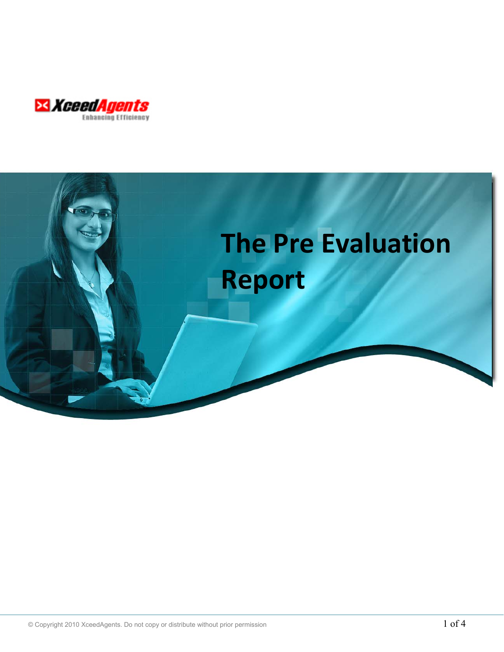

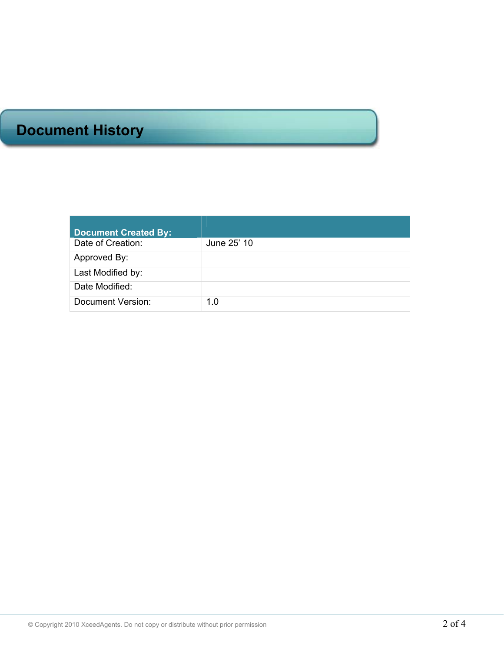# **Document History**

| <b>Document Created By:</b> |             |
|-----------------------------|-------------|
| Date of Creation:           | June 25' 10 |
| Approved By:                |             |
| Last Modified by:           |             |
| Date Modified:              |             |
| Document Version:           | 1.0         |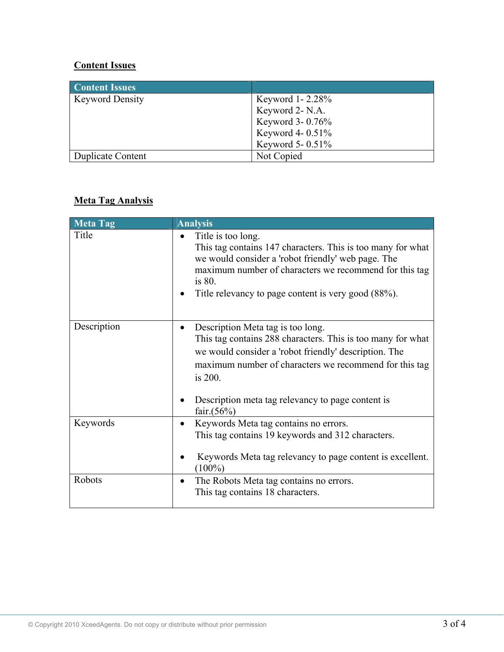# **Content Issues**

| <b>Content Issues</b>  |                     |
|------------------------|---------------------|
| <b>Keyword Density</b> | Keyword 1-2.28%     |
|                        | Keyword 2- N.A.     |
|                        | Keyword 3-0.76%     |
|                        | Keyword 4- 0.51%    |
|                        | Keyword 5- $0.51\%$ |
| Duplicate Content      | Not Copied          |

## **Meta Tag Analysis**

| <b>Meta Tag</b> | <b>Analysis</b>                                                                                                                                                                                                                                                                                                   |
|-----------------|-------------------------------------------------------------------------------------------------------------------------------------------------------------------------------------------------------------------------------------------------------------------------------------------------------------------|
| Title           | Title is too long.<br>$\bullet$<br>This tag contains 147 characters. This is too many for what<br>we would consider a 'robot friendly' web page. The<br>maximum number of characters we recommend for this tag<br>is 80.<br>Title relevancy to page content is very good (88%).                                   |
| Description     | Description Meta tag is too long.<br>$\bullet$<br>This tag contains 288 characters. This is too many for what<br>we would consider a 'robot friendly' description. The<br>maximum number of characters we recommend for this tag<br>is 200.<br>Description meta tag relevancy to page content is<br>fair. $(56%)$ |
| Keywords        | Keywords Meta tag contains no errors.<br>$\bullet$<br>This tag contains 19 keywords and 312 characters.<br>Keywords Meta tag relevancy to page content is excellent.<br>$(100\%)$                                                                                                                                 |
| Robots          | The Robots Meta tag contains no errors.<br>This tag contains 18 characters.                                                                                                                                                                                                                                       |